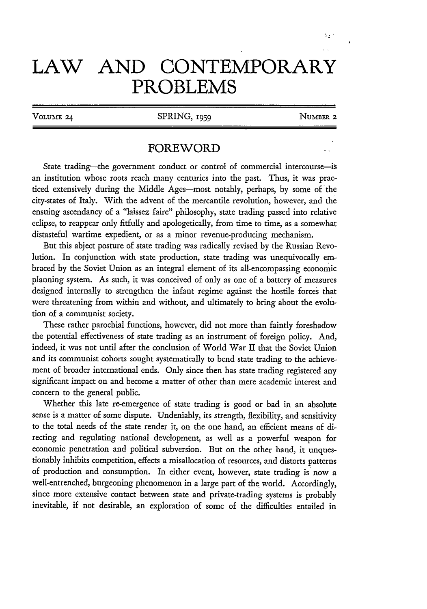## **LAW AND CONTEMPORARY PROBLEMS**

VOLUME 24 SPRING, 1959 **NUMBER 2** 

 $\mathbb{Z}_2$ 

## FOREWORD

State trading-the government conduct or control of commercial intercourse-is an institution whose roots reach many centuries into the past. Thus, it was practiced extensively during the Middle Ages-most notably, perhaps, by some of the city-states of Italy. With the advent of the mercantile revolution, however, and the ensuing ascendancy of a "laissez faire" philosophy, state trading passed into relative eclipse, to reappear only fitfully and apologetically, from time to time, as a somewhat distasteful wartime expedient, or as a minor revenue-producing mechanism.

But this abject posture of state trading was radically revised by the Russian Revolution. In conjunction with state production, state trading was unequivocally embraced by the Soviet Union as an integral element of its all-encompassing economic planning system. As such, it was conceived of only as one of a battery of measures designed internally to strengthen the infant regime against the hostile forces that were threatening from within and without, and ultimately to bring about the evolution of a communist society.

These rather parochial functions, however, did not more than faintly foreshadow the potential effectiveness of state trading as an instrument of foreign policy. And, indeed, it was not until after the conclusion of World War II that the Soviet Union and its communist cohorts sought systematically to bend state trading to the achievement of broader international ends. Only since then has state trading registered any significant impact on and become a matter of other than mere academic interest and concern to the general public.

Whether this late re-emergence of state trading is good or bad in an absolute sense is a matter of some dispute. Undeniably, its strength, flexibility, and sensitivity to the total needs of the state render it, on the one hand, an efficient means of directing and regulating national development, as well as a powerful weapon for economic penetration and political subversion. But on the other hand, it unquestionably inhibits competition, effects a misallocation of resources, and distorts patterns of production and consumption. In either event, however, state trading is now a well-entrenched, burgeoning phenomenon in a large part of the world. Accordingly, since more extensive contact between state and private-trading systems is probably inevitable, if not desirable, an exploration of some of the difficulties entailed in